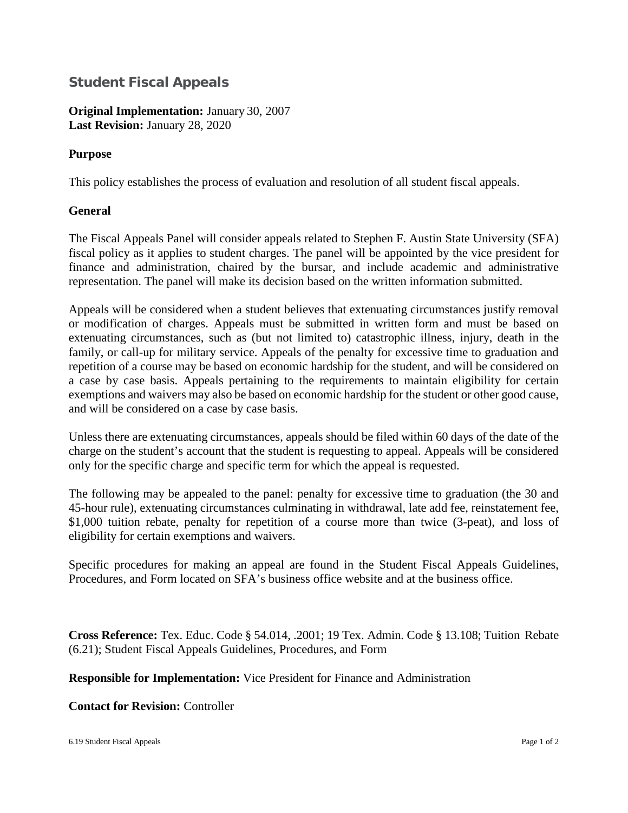## **Student Fiscal Appeals**

**Original Implementation:** January 30, 2007 **Last Revision:** January 28, 2020

## **Purpose**

This policy establishes the process of evaluation and resolution of all student fiscal appeals.

## **General**

The Fiscal Appeals Panel will consider appeals related to Stephen F. Austin State University (SFA) fiscal policy as it applies to student charges. The panel will be appointed by the vice president for finance and administration, chaired by the bursar, and include academic and administrative representation. The panel will make its decision based on the written information submitted.

Appeals will be considered when a student believes that extenuating circumstances justify removal or modification of charges. Appeals must be submitted in written form and must be based on extenuating circumstances, such as (but not limited to) catastrophic illness, injury, death in the family, or call-up for military service. Appeals of the penalty for excessive time to graduation and repetition of a course may be based on economic hardship for the student, and will be considered on a case by case basis. Appeals pertaining to the requirements to maintain eligibility for certain exemptions and waivers may also be based on economic hardship for the student or other good cause, and will be considered on a case by case basis.

Unless there are extenuating circumstances, appeals should be filed within 60 days of the date of the charge on the student's account that the student is requesting to appeal. Appeals will be considered only for the specific charge and specific term for which the appeal is requested.

The following may be appealed to the panel: penalty for excessive time to graduation (the 30 and 45-hour rule), extenuating circumstances culminating in withdrawal, late add fee, reinstatement fee, \$1,000 tuition rebate, penalty for repetition of a course more than twice (3-peat), and loss of eligibility for certain exemptions and waivers.

Specific procedures for making an appeal are found in the Student Fiscal Appeals Guidelines, Procedures, and Form located on SFA's business office website and at the business office.

**Cross Reference:** Tex. Educ. Code § 54.014, .2001; 19 Tex. Admin. Code § 13.108; Tuition Rebate (6.21); Student Fiscal Appeals Guidelines, Procedures, and Form

**Responsible for Implementation:** Vice President for Finance and Administration

## **Contact for Revision:** Controller